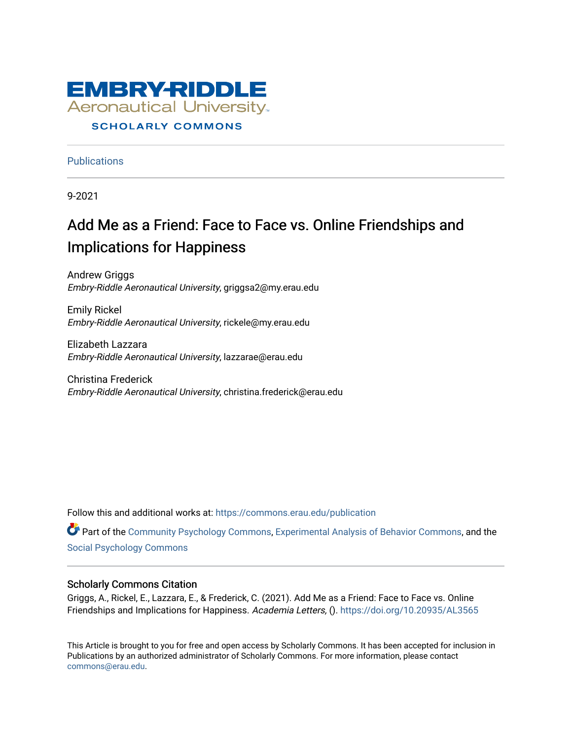

#### **SCHOLARLY COMMONS**

**Publications** 

9-2021

# Add Me as a Friend: Face to Face vs. Online Friendships and Implications for Happiness

Andrew Griggs Embry-Riddle Aeronautical University, griggsa2@my.erau.edu

Emily Rickel Embry-Riddle Aeronautical University, rickele@my.erau.edu

Elizabeth Lazzara Embry-Riddle Aeronautical University, lazzarae@erau.edu

Christina Frederick Embry-Riddle Aeronautical University, christina.frederick@erau.edu

Follow this and additional works at: [https://commons.erau.edu/publication](https://commons.erau.edu/publication?utm_source=commons.erau.edu%2Fpublication%2F1633&utm_medium=PDF&utm_campaign=PDFCoverPages) 

Part of the [Community Psychology Commons,](http://network.bepress.com/hgg/discipline/409?utm_source=commons.erau.edu%2Fpublication%2F1633&utm_medium=PDF&utm_campaign=PDFCoverPages) [Experimental Analysis of Behavior Commons](http://network.bepress.com/hgg/discipline/1236?utm_source=commons.erau.edu%2Fpublication%2F1633&utm_medium=PDF&utm_campaign=PDFCoverPages), and the [Social Psychology Commons](http://network.bepress.com/hgg/discipline/414?utm_source=commons.erau.edu%2Fpublication%2F1633&utm_medium=PDF&utm_campaign=PDFCoverPages)

#### Scholarly Commons Citation

Griggs, A., Rickel, E., Lazzara, E., & Frederick, C. (2021). Add Me as a Friend: Face to Face vs. Online Friendships and Implications for Happiness. Academia Letters, ().<https://doi.org/10.20935/AL3565>

This Article is brought to you for free and open access by Scholarly Commons. It has been accepted for inclusion in Publications by an authorized administrator of Scholarly Commons. For more information, please contact [commons@erau.edu](mailto:commons@erau.edu).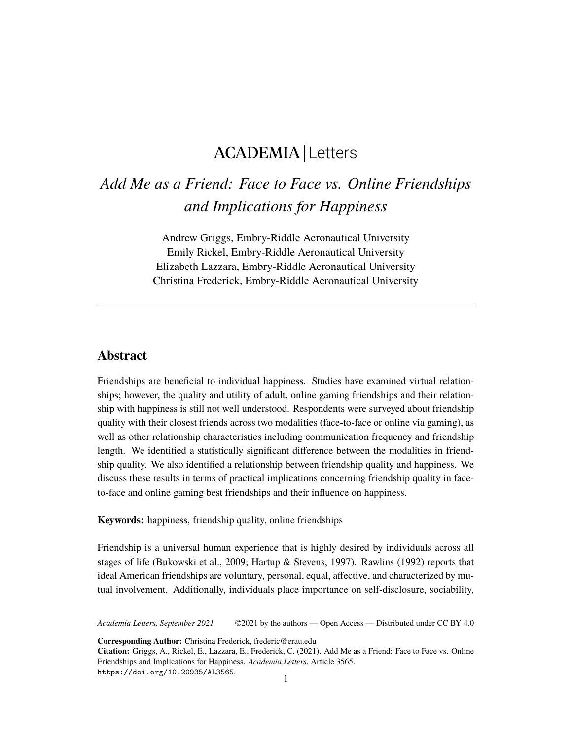## ACADEMIA Letters

## *Add Me as a Friend: Face to Face vs. Online Friendships and Implications for Happiness*

Andrew Griggs, Embry-Riddle Aeronautical University Emily Rickel, Embry-Riddle Aeronautical University Elizabeth Lazzara, Embry-Riddle Aeronautical University Christina Frederick, Embry-Riddle Aeronautical University

## **Abstract**

Friendships are beneficial to individual happiness. Studies have examined virtual relationships; however, the quality and utility of adult, online gaming friendships and their relationship with happiness is still not well understood. Respondents were surveyed about friendship quality with their closest friends across two modalities (face-to-face or online via gaming), as well as other relationship characteristics including communication frequency and friendship length. We identified a statistically significant difference between the modalities in friendship quality. We also identified a relationship between friendship quality and happiness. We discuss these results in terms of practical implications concerning friendship quality in faceto-face and online gaming best friendships and their influence on happiness.

**Keywords:** happiness, friendship quality, online friendships

Friendship is a universal human experience that is highly desired by individuals across all stages of life (Bukowski et al., 2009; Hartup & Stevens, 1997). Rawlins (1992) reports that ideal American friendships are voluntary, personal, equal, affective, and characterized by mutual involvement. Additionally, individuals place importance on self-disclosure, sociability,

*Academia Letters, September 2021* ©2021 by the authors — Open Access — Distributed under CC BY 4.0

**Corresponding Author:** Christina Frederick, frederic@erau.edu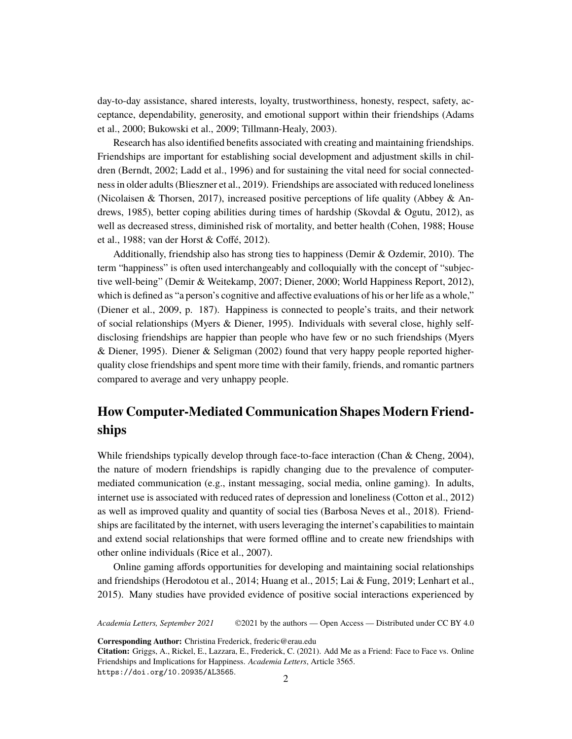day-to-day assistance, shared interests, loyalty, trustworthiness, honesty, respect, safety, acceptance, dependability, generosity, and emotional support within their friendships (Adams et al., 2000; Bukowski et al., 2009; Tillmann-Healy, 2003).

Research has also identified benefits associated with creating and maintaining friendships. Friendships are important for establishing social development and adjustment skills in children (Berndt, 2002; Ladd et al., 1996) and for sustaining the vital need for social connectedness in older adults (Blieszner et al., 2019). Friendships are associated with reduced loneliness (Nicolaisen & Thorsen, 2017), increased positive perceptions of life quality (Abbey & Andrews, 1985), better coping abilities during times of hardship (Skovdal & Ogutu, 2012), as well as decreased stress, diminished risk of mortality, and better health (Cohen, 1988; House et al., 1988; van der Horst & Coffé, 2012).

Additionally, friendship also has strong ties to happiness (Demir & Ozdemir, 2010). The term "happiness" is often used interchangeably and colloquially with the concept of "subjective well-being" (Demir & Weitekamp, 2007; Diener, 2000; World Happiness Report, 2012), which is defined as "a person's cognitive and affective evaluations of his or her life as a whole," (Diener et al., 2009, p. 187). Happiness is connected to people's traits, and their network of social relationships (Myers & Diener, 1995). Individuals with several close, highly selfdisclosing friendships are happier than people who have few or no such friendships (Myers & Diener, 1995). Diener & Seligman (2002) found that very happy people reported higherquality close friendships and spent more time with their family, friends, and romantic partners compared to average and very unhappy people.

## **How Computer-Mediated Communication Shapes Modern Friendships**

While friendships typically develop through face-to-face interaction (Chan & Cheng, 2004), the nature of modern friendships is rapidly changing due to the prevalence of computermediated communication (e.g., instant messaging, social media, online gaming). In adults, internet use is associated with reduced rates of depression and loneliness (Cotton et al., 2012) as well as improved quality and quantity of social ties (Barbosa Neves et al., 2018). Friendships are facilitated by the internet, with users leveraging the internet's capabilities to maintain and extend social relationships that were formed offline and to create new friendships with other online individuals (Rice et al., 2007).

Online gaming affords opportunities for developing and maintaining social relationships and friendships (Herodotou et al., 2014; Huang et al., 2015; Lai & Fung, 2019; Lenhart et al., 2015). Many studies have provided evidence of positive social interactions experienced by

*Academia Letters, September 2021* ©2021 by the authors — Open Access — Distributed under CC BY 4.0

**Corresponding Author:** Christina Frederick, frederic@erau.edu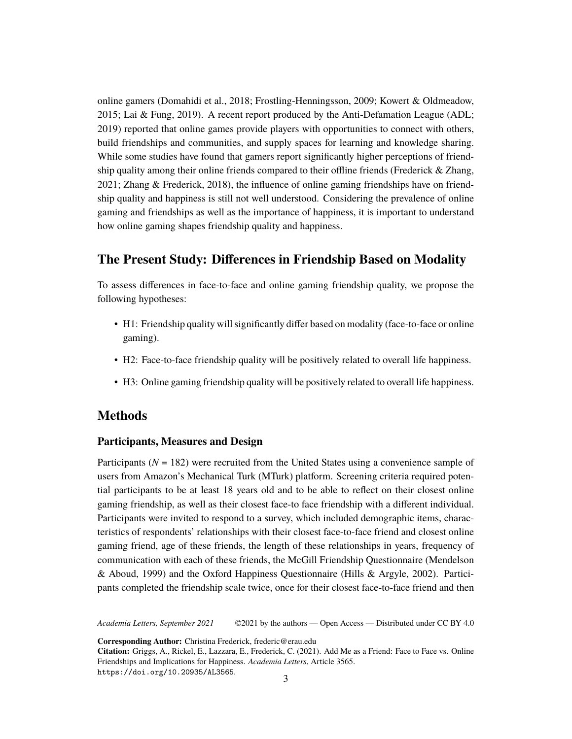online gamers (Domahidi et al., 2018; Frostling-Henningsson, 2009; Kowert & Oldmeadow, 2015; Lai & Fung, 2019). A recent report produced by the Anti-Defamation League (ADL; 2019) reported that online games provide players with opportunities to connect with others, build friendships and communities, and supply spaces for learning and knowledge sharing. While some studies have found that gamers report significantly higher perceptions of friendship quality among their online friends compared to their offline friends (Frederick & Zhang, 2021; Zhang & Frederick, 2018), the influence of online gaming friendships have on friendship quality and happiness is still not well understood. Considering the prevalence of online gaming and friendships as well as the importance of happiness, it is important to understand how online gaming shapes friendship quality and happiness.

### **The Present Study: Differences in Friendship Based on Modality**

To assess differences in face-to-face and online gaming friendship quality, we propose the following hypotheses:

- H1: Friendship quality will significantly differ based on modality (face-to-face or online gaming).
- H2: Face-to-face friendship quality will be positively related to overall life happiness.
- H3: Online gaming friendship quality will be positively related to overall life happiness.

## **Methods**

#### **Participants, Measures and Design**

Participants ( $N = 182$ ) were recruited from the United States using a convenience sample of users from Amazon's Mechanical Turk (MTurk) platform. Screening criteria required potential participants to be at least 18 years old and to be able to reflect on their closest online gaming friendship, as well as their closest face-to face friendship with a different individual. Participants were invited to respond to a survey, which included demographic items, characteristics of respondents' relationships with their closest face-to-face friend and closest online gaming friend, age of these friends, the length of these relationships in years, frequency of communication with each of these friends, the McGill Friendship Questionnaire (Mendelson & Aboud, 1999) and the Oxford Happiness Questionnaire (Hills & Argyle, 2002). Participants completed the friendship scale twice, once for their closest face-to-face friend and then

*Academia Letters, September 2021* ©2021 by the authors — Open Access — Distributed under CC BY 4.0

**Corresponding Author:** Christina Frederick, frederic@erau.edu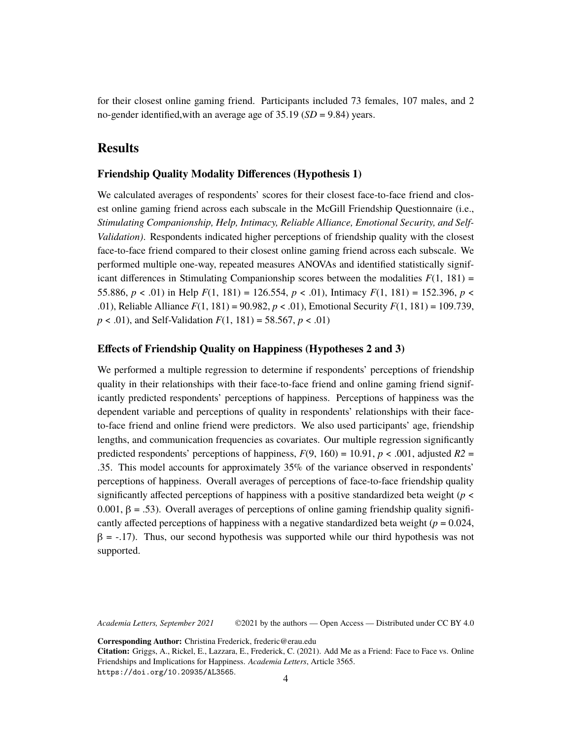for their closest online gaming friend. Participants included 73 females, 107 males, and 2 no-gender identified,with an average age of 35.19 (*SD* = 9.84) years.

### **Results**

#### **Friendship Quality Modality Differences (Hypothesis 1)**

We calculated averages of respondents' scores for their closest face-to-face friend and closest online gaming friend across each subscale in the McGill Friendship Questionnaire (i.e., *Stimulating Companionship, Help, Intimacy, Reliable Alliance, Emotional Security, and Self-Validation)*. Respondents indicated higher perceptions of friendship quality with the closest face-to-face friend compared to their closest online gaming friend across each subscale. We performed multiple one-way, repeated measures ANOVAs and identified statistically significant differences in Stimulating Companionship scores between the modalities  $F(1, 181)$  = 55.886,  $p < .01$ ) in Help  $F(1, 181) = 126.554$ ,  $p < .01$ ), Intimacy  $F(1, 181) = 152.396$ ,  $p <$ .01), Reliable Alliance *F*(1, 181) = 90.982, *p* < .01), Emotional Security *F*(1, 181) = 109.739, *p* < .01), and Self-Validation *F*(1, 181) = 58.567, *p* < .01)

#### **Effects of Friendship Quality on Happiness (Hypotheses 2 and 3)**

We performed a multiple regression to determine if respondents' perceptions of friendship quality in their relationships with their face-to-face friend and online gaming friend significantly predicted respondents' perceptions of happiness. Perceptions of happiness was the dependent variable and perceptions of quality in respondents' relationships with their faceto-face friend and online friend were predictors. We also used participants' age, friendship lengths, and communication frequencies as covariates. Our multiple regression significantly predicted respondents' perceptions of happiness,  $F(9, 160) = 10.91$ ,  $p < .001$ , adjusted  $R2 =$ .35. This model accounts for approximately 35% of the variance observed in respondents' perceptions of happiness. Overall averages of perceptions of face-to-face friendship quality significantly affected perceptions of happiness with a positive standardized beta weight ( $p <$  $0.001, \beta = .53$ ). Overall averages of perceptions of online gaming friendship quality significantly affected perceptions of happiness with a negative standardized beta weight  $(p = 0.024,$  $\beta$  = -.17). Thus, our second hypothesis was supported while our third hypothesis was not supported.

*Academia Letters, September 2021* ©2021 by the authors — Open Access — Distributed under CC BY 4.0

**Corresponding Author:** Christina Frederick, frederic@erau.edu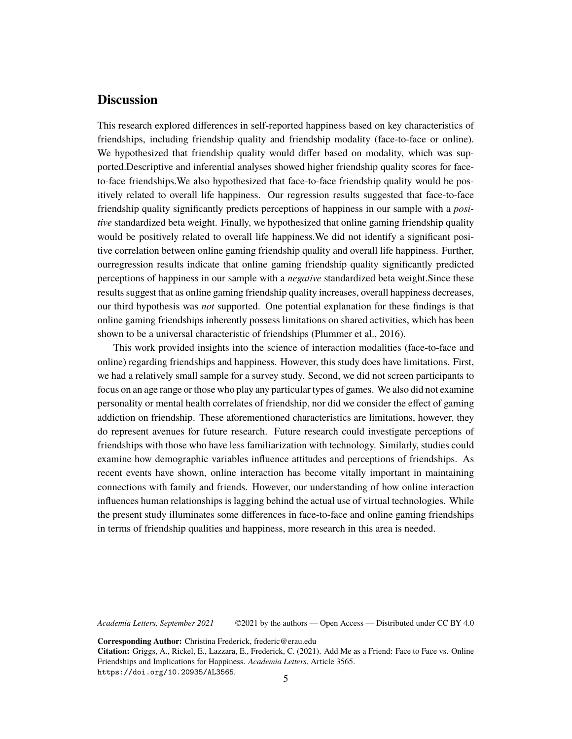### **Discussion**

This research explored differences in self-reported happiness based on key characteristics of friendships, including friendship quality and friendship modality (face-to-face or online). We hypothesized that friendship quality would differ based on modality, which was supported.Descriptive and inferential analyses showed higher friendship quality scores for faceto-face friendships.We also hypothesized that face-to-face friendship quality would be positively related to overall life happiness. Our regression results suggested that face-to-face friendship quality significantly predicts perceptions of happiness in our sample with a *positive* standardized beta weight. Finally, we hypothesized that online gaming friendship quality would be positively related to overall life happiness.We did not identify a significant positive correlation between online gaming friendship quality and overall life happiness. Further, ourregression results indicate that online gaming friendship quality significantly predicted perceptions of happiness in our sample with a *negative* standardized beta weight.Since these results suggest that as online gaming friendship quality increases, overall happiness decreases, our third hypothesis was *not* supported. One potential explanation for these findings is that online gaming friendships inherently possess limitations on shared activities, which has been shown to be a universal characteristic of friendships (Plummer et al., 2016).

This work provided insights into the science of interaction modalities (face-to-face and online) regarding friendships and happiness. However, this study does have limitations. First, we had a relatively small sample for a survey study. Second, we did not screen participants to focus on an age range or those who play any particular types of games. We also did not examine personality or mental health correlates of friendship, nor did we consider the effect of gaming addiction on friendship. These aforementioned characteristics are limitations, however, they do represent avenues for future research. Future research could investigate perceptions of friendships with those who have less familiarization with technology. Similarly, studies could examine how demographic variables influence attitudes and perceptions of friendships. As recent events have shown, online interaction has become vitally important in maintaining connections with family and friends. However, our understanding of how online interaction influences human relationships is lagging behind the actual use of virtual technologies. While the present study illuminates some differences in face-to-face and online gaming friendships in terms of friendship qualities and happiness, more research in this area is needed.

*Academia Letters, September 2021* ©2021 by the authors — Open Access — Distributed under CC BY 4.0

**Corresponding Author:** Christina Frederick, frederic@erau.edu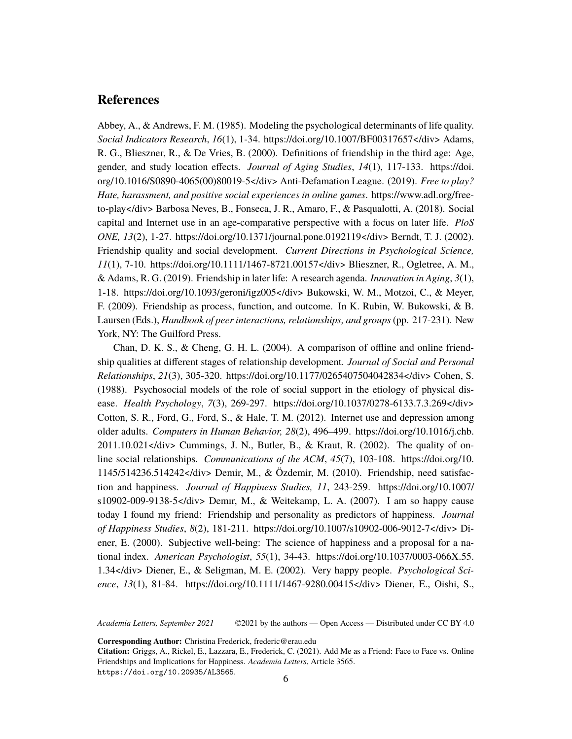#### **References**

Abbey, A., & Andrews, F. M. (1985). Modeling the psychological determinants of life quality. *Social Indicators Research*, *16*(1), 1-34. [https://doi.org/10.1007/BF00317657</div> Adams,](https://doi.org/10.1007/BF00317657  Adams,) R. G., Blieszner, R., & De Vries, B. (2000). Definitions of friendship in the third age: Age, gender, and study location effects. *Journal of Aging Studies*, *14*(1), 117-133. [https://doi.](https://doi.org/10.1016/S0890-4065(00)80019-5  Anti-Defamation) [org/10.1016/S0890-4065\(00\)80019-5</div> Anti-Defamation](https://doi.org/10.1016/S0890-4065(00)80019-5  Anti-Defamation) League. (2019). *Free to play? Hate, harassment, and positive social experiences in online games*. [https://www.adl.org/free](https://www.adl.org/free-to-play  Barbosa)[to-play</div> Barbosa](https://www.adl.org/free-to-play  Barbosa) Neves, B., Fonseca, J. R., Amaro, F., & Pasqualotti, A. (2018). Social capital and Internet use in an age-comparative perspective with a focus on later life. *PloS ONE, 13*(2), 1-27. [https://doi.org/10.1371/journal.pone.0192119</div> Berndt,](https://doi.org/10.1371/journal.pone.0192119  Berndt,) T. J. (2002). Friendship quality and social development. *Current Directions in Psychological Science, 11*(1), 7-10. [https://doi.org/10.1111/1467-8721.00157</div> Blieszner,](https://doi.org/10.1111/1467-8721.00157  Blieszner,) R., Ogletree, A. M., & Adams, R. G. (2019). Friendship in later life: A research agenda. *Innovation in Aging*, *3*(1), 1-18. [https://doi.org/10.1093/geroni/igz005</div> Bukowski,](https://doi.org/10.1093/geroni/igz005  Bukowski,) W. M., Motzoi, C., & Meyer, F. (2009). Friendship as process, function, and outcome. In K. Rubin, W. Bukowski, & B. Laursen (Eds.), *Handbook of peer interactions, relationships, and groups*(pp. 217-231). New York, NY: The Guilford Press.

Chan, D. K. S., & Cheng, G. H. L. (2004). A comparison of offline and online friendship qualities at different stages of relationship development. *Journal of Social and Personal Relationships*, *21*(3), 305-320. [https://doi.org/10.1177/0265407504042834</div> Cohen,](https://doi.org/10.1177/0265407504042834  Cohen,) S. (1988). Psychosocial models of the role of social support in the etiology of physical disease. *Health Psychology*, *7*(3), 269-297. [https://doi.org/10.1037/0278-6133.7.3.269</div>](https://doi.org/10.1037/0278-6133.7.3.269  Cotton,) [Cotton,](https://doi.org/10.1037/0278-6133.7.3.269  Cotton,) S. R., Ford, G., Ford, S., & Hale, T. M. (2012). Internet use and depression among older adults. *Computers in Human Behavior, 28*(2), 496–499. [https://doi.org/10.1016/j.chb.](https://doi.org/10.1016/j.chb.2011.10.021  Cummings,)  $2011.10.021 <$ /div> Cummings, J. N., Butler, B., & Kraut, R. (2002). The quality of online social relationships. *Communications of the ACM*, *45*(7), 103-108. [https://doi.org/10.](https://doi.org/10.1145/514236.514242  Demir,) [1145/514236.514242</div> Demir,](https://doi.org/10.1145/514236.514242  Demir,) M., & Özdemir, M. (2010). Friendship, need satisfaction and happiness. *Journal of Happiness Studies, 11*, 243-259. [https://doi.org/10.1007/](�� h t t p s : / / d o i . o r g / 1 0 . 1 0 0 7 / s 1 0 9 0 2 - 0 0 9 - 9 1 3 8 - 5     D e m1 r ,) [s10902-009-9138-5</div> Demır,](�� h t t p s : / / d o i . o r g / 1 0 . 1 0 0 7 / s 1 0 9 0 2 - 0 0 9 - 9 1 3 8 - 5     D e m1 r ,) M., & Weitekamp, L. A. (2007). I am so happy cause today I found my friend: Friendship and personality as predictors of happiness. *Journal of Happiness Studies*, *8*(2), 181-211. [https://doi.org/10.1007/s10902-006-9012-7</div> Di](https://doi.org/10.1007/s10902-006-9012-7  Diener,)[ener,](https://doi.org/10.1007/s10902-006-9012-7  Diener,) E. (2000). Subjective well-being: The science of happiness and a proposal for a national index. *American Psychologist*, *55*(1), 34-43. [https://doi.org/10.1037/0003-066X.55.](https://doi.org/10.1037/0003-066X.55.1.34  Diener,) [1.34</div> Diener,](https://doi.org/10.1037/0003-066X.55.1.34  Diener,) E., & Seligman, M. E. (2002). Very happy people. *Psychological Science*, *13*(1), 81-84. [https://doi.org/10.1111/1467-9280.00415</div> Diener,](https://doi.org/10.1111/1467-9280.00415  Diener,) E., Oishi, S.,

*Academia Letters, September 2021* ©2021 by the authors — Open Access — Distributed under CC BY 4.0

**Corresponding Author:** Christina Frederick, frederic@erau.edu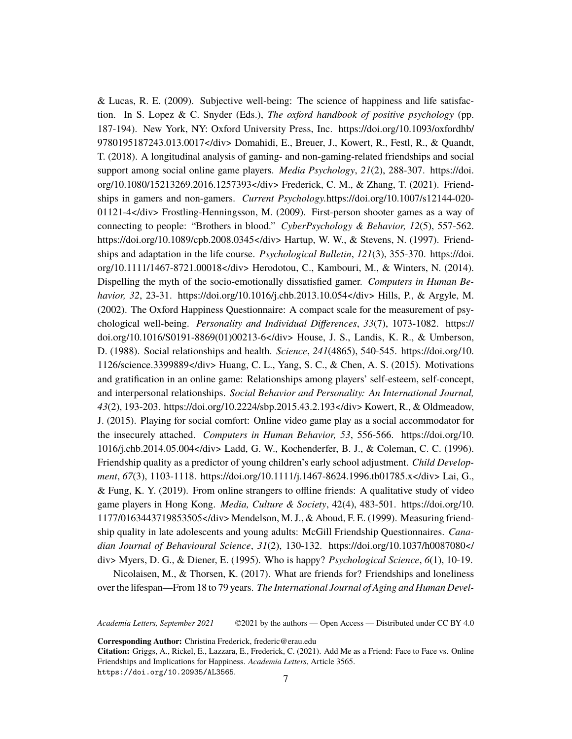& Lucas, R. E. (2009). Subjective well-being: The science of happiness and life satisfaction. In S. Lopez & C. Snyder (Eds.), *The oxford handbook of positive psychology* (pp. 187-194). New York, NY: Oxford University Press, Inc. [https://doi.org/10.1093/oxfordhb/](https://doi.org/10.1093/oxfordhb/9780195187243.013.0017  Domahidi,) [9780195187243.013.0017</div> Domahidi,](https://doi.org/10.1093/oxfordhb/9780195187243.013.0017  Domahidi,) E., Breuer, J., Kowert, R., Festl, R., & Quandt, T. (2018). A longitudinal analysis of gaming- and non-gaming-related friendships and social support among social online game players. *Media Psychology*, *21*(2), 288-307. [https://doi.](https://doi.org/10.1080/15213269.2016.1257393  Frederick,) [org/10.1080/15213269.2016.1257393</div> Frederick,](https://doi.org/10.1080/15213269.2016.1257393  Frederick,) C. M., & Zhang, T. (2021). Friendships in gamers and non-gamers. *Current Psychology.*[https://doi.org/10.1007/s12144-020-](https://doi.org/10.1007/s12144-020-01121-4  Frostling-Henningsson,) [01121-4</div> Frostling-Henningsson,](https://doi.org/10.1007/s12144-020-01121-4  Frostling-Henningsson,) M. (2009). First-person shooter games as a way of connecting to people: "Brothers in blood." *CyberPsychology & Behavior, 12*(5), 557-562. [https://doi.org/10.1089/cpb.2008.0345</div> Hartup,](https://doi.org/10.1089/cpb.2008.0345  Hartup,) W. W., & Stevens, N. (1997). Friendships and adaptation in the life course. *Psychological Bulletin*, *121*(3), 355-370. [https://doi.](https://doi.org/10.1111/1467-8721.00018  Herodotou,) [org/10.1111/1467-8721.00018</div> Herodotou,](https://doi.org/10.1111/1467-8721.00018  Herodotou,) C., Kambouri, M., & Winters, N. (2014). Dispelling the myth of the socio-emotionally dissatisfied gamer. *Computers in Human Behavior, 32*, 23-31. [https://doi.org/10.1016/j.chb.2013.10.054</div> Hills,](https://doi.org/10.1016/j.chb.2013.10.054  Hills,) P., & Argyle, M. (2002). The Oxford Happiness Questionnaire: A compact scale for the measurement of psychological well-being. *Personality and Individual Differences*, *33*(7), 1073-1082. [https://](https://doi.org/10.1016/S0191-8869(01)00213-6  House,) [doi.org/10.1016/S0191-8869\(01\)00213-6</div> House,](https://doi.org/10.1016/S0191-8869(01)00213-6  House,) J. S., Landis, K. R., & Umberson, D. (1988). Social relationships and health. *Science*, *241*(4865), 540-545. [https://doi.org/10.](https://doi.org/10.1126/science.3399889  Huang,) [1126/science.3399889</div> Huang,](https://doi.org/10.1126/science.3399889  Huang,) C. L., Yang, S. C., & Chen, A. S. (2015). Motivations and gratification in an online game: Relationships among players' self-esteem, self-concept, and interpersonal relationships. *Social Behavior and Personality: An International Journal, 43*(2), 193-203. [https://doi.org/10.2224/sbp.2015.43.2.193</div> Kowert,](https://doi.org/10.2224/sbp.2015.43.2.193  Kowert,) R., & Oldmeadow, J. (2015). Playing for social comfort: Online video game play as a social accommodator for the insecurely attached. *Computers in Human Behavior, 53*, 556-566. [https://doi.org/10.](https://doi.org/10.1016/j.chb.2014.05.004  Ladd,) [1016/j.chb.2014.05.004</div> Ladd,](https://doi.org/10.1016/j.chb.2014.05.004  Ladd,) G. W., Kochenderfer, B. J., & Coleman, C. C. (1996). Friendship quality as a predictor of young children's early school adjustment. *Child Development*, *67*(3), 1103-1118. [https://doi.org/10.1111/j.1467-8624.1996.tb01785.x</div> Lai,](https://doi.org/10.1111/j.1467-8624.1996.tb01785.x  Lai,) G., & Fung, K. Y. (2019). From online strangers to offline friends: A qualitative study of video game players in Hong Kong. *Media, Culture & Society*, 42(4), 483-501. [https://doi.org/10.](https://doi.org/10.1177/0163443719853505  Mendelson,) [1177/0163443719853505</div> Mendelson,](https://doi.org/10.1177/0163443719853505  Mendelson,) M. J., & Aboud, F. E. (1999). Measuring friendship quality in late adolescents and young adults: McGill Friendship Questionnaires. *Canadian Journal of Behavioural Science*, *31*(2), 130-132. [https://doi.org/10.1037/h0087080</](https://doi.org/10.1037/h0087080  Myers,) [div> Myers,](https://doi.org/10.1037/h0087080  Myers,) D. G., & Diener, E. (1995). Who is happy? *Psychological Science*, *6*(1), 10-19.

Nicolaisen, M., & Thorsen, K. (2017). What are friends for? Friendships and loneliness over the lifespan—From 18 to 79 years. *The International Journal of Aging and Human Devel-*

*Academia Letters, September 2021* ©2021 by the authors — Open Access — Distributed under CC BY 4.0

**Corresponding Author:** Christina Frederick, frederic@erau.edu